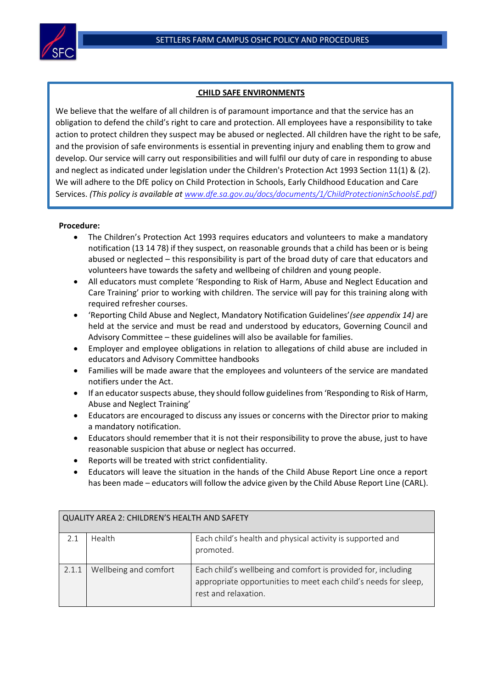

## **CHILD SAFE ENVIRONMENTS**

 Services. *(This policy is available at [www.dfe.sa.gov.au/docs/documents/1/ChildProtectioninSchoolsE.pdf\)](http://www.dfe.sa.gov.au/docs/documents/1/ChildProtectioninSchoolsE.pdf)*l We believe that the welfare of all children is of paramount importance and that the service has an obligation to defend the child's right to care and protection. All employees have a responsibility to take action to protect children they suspect may be abused or neglected. All children have the right to be safe, and the provision of safe environments is essential in preventing injury and enabling them to grow and develop. Our service will carry out responsibilities and will fulfil our duty of care in responding to abuse and neglect as indicated under legislation under the Children's Protection Act 1993 Section 11(1) & (2). We will adhere to the DfE policy on Child Protection in Schools, Early Childhood Education and Care

## **Procedure:**

- The Children's Protection Act 1993 requires educators and volunteers to make a mandatory notification (13 14 78) if they suspect, on reasonable grounds that a child has been or is being abused or neglected – this responsibility is part of the broad duty of care that educators and volunteers have towards the safety and wellbeing of children and young people.
- All educators must complete 'Responding to Risk of Harm, Abuse and Neglect Education and Care Training' prior to working with children. The service will pay for this training along with required refresher courses.
- 'Reporting Child Abuse and Neglect, Mandatory Notification Guidelines'*(see appendix 14)* are held at the service and must be read and understood by educators, Governing Council and Advisory Committee – these guidelines will also be available for families.
- Employer and employee obligations in relation to allegations of child abuse are included in educators and Advisory Committee handbooks
- Families will be made aware that the employees and volunteers of the service are mandated notifiers under the Act.
- If an educator suspects abuse, they should follow guidelines from 'Responding to Risk of Harm, Abuse and Neglect Training'
- Educators are encouraged to discuss any issues or concerns with the Director prior to making a mandatory notification.
- Educators should remember that it is not their responsibility to prove the abuse, just to have reasonable suspicion that abuse or neglect has occurred.
- Reports will be treated with strict confidentiality.
- Educators will leave the situation in the hands of the Child Abuse Report Line once a report has been made – educators will follow the advice given by the Child Abuse Report Line (CARL).

| QUALITY AREA 2: CHILDREN'S HEALTH AND SAFETY |                       |                                                                                                                                                          |  |  |  |
|----------------------------------------------|-----------------------|----------------------------------------------------------------------------------------------------------------------------------------------------------|--|--|--|
| 21                                           | Health                | Each child's health and physical activity is supported and                                                                                               |  |  |  |
|                                              |                       | promoted.                                                                                                                                                |  |  |  |
| 2.1.1                                        | Wellbeing and comfort | Each child's wellbeing and comfort is provided for, including<br>appropriate opportunities to meet each child's needs for sleep,<br>rest and relaxation. |  |  |  |